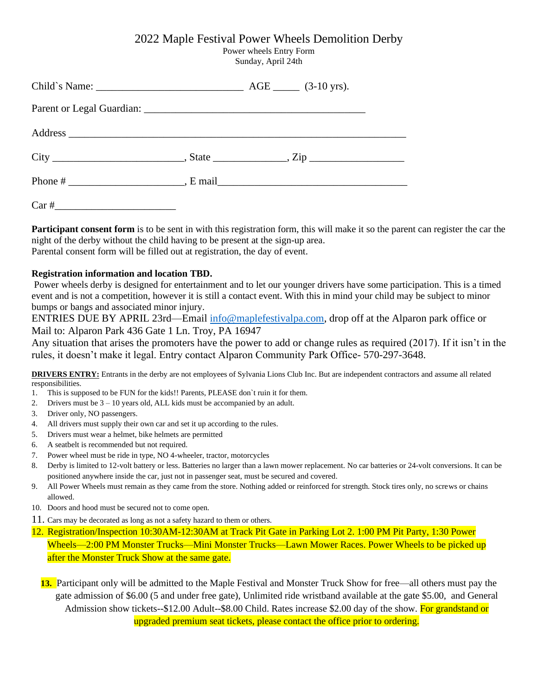# 2022 Maple Festival Power Wheels Demolition Derby

Power wheels Entry Form Sunday, April 24th

| Child`s Name: $\_\_\_\_\_$ AGE $\_\_\_$ (3-10 yrs). |  |  |
|-----------------------------------------------------|--|--|
|                                                     |  |  |
|                                                     |  |  |
|                                                     |  |  |
|                                                     |  |  |
| $Car \#$                                            |  |  |

**Participant consent form** is to be sent in with this registration form, this will make it so the parent can register the car the night of the derby without the child having to be present at the sign-up area. Parental consent form will be filled out at registration, the day of event.

# **Registration information and location TBD.**

Power wheels derby is designed for entertainment and to let our younger drivers have some participation. This is a timed event and is not a competition, however it is still a contact event. With this in mind your child may be subject to minor bumps or bangs and associated minor injury.

ENTRIES DUE BY APRIL 23rd—Email [info@maplefestivalpa.com,](mailto:info@maplefestivalpa.com) drop off at the Alparon park office or Mail to: Alparon Park 436 Gate 1 Ln. Troy, PA 16947

Any situation that arises the promoters have the power to add or change rules as required (2017). If it isn't in the rules, it doesn't make it legal. Entry contact Alparon Community Park Office- 570-297-3648.

**DRIVERS ENTRY:** Entrants in the derby are not employees of Sylvania Lions Club Inc. But are independent contractors and assume all related responsibilities.

- 1. This is supposed to be FUN for the kids!! Parents, PLEASE don`t ruin it for them.
- 2. Drivers must be  $3 10$  years old, ALL kids must be accompanied by an adult.
- 3. Driver only, NO passengers.
- 4. All drivers must supply their own car and set it up according to the rules.
- 5. Drivers must wear a helmet, bike helmets are permitted
- 6. A seatbelt is recommended but not required.
- 7. Power wheel must be ride in type, NO 4-wheeler, tractor, motorcycles
- 8. Derby is limited to 12-volt battery or less. Batteries no larger than a lawn mower replacement. No car batteries or 24-volt conversions. It can be positioned anywhere inside the car, just not in passenger seat, must be secured and covered.
- 9. All Power Wheels must remain as they came from the store. Nothing added or reinforced for strength. Stock tires only, no screws or chains allowed.
- 10. Doors and hood must be secured not to come open.
- 11. Cars may be decorated as long as not a safety hazard to them or others.
- 12. Registration/Inspection 10:30AM-12:30AM at Track Pit Gate in Parking Lot 2. 1:00 PM Pit Party, 1:30 Power Wheels—2:00 PM Monster Trucks—Mini Monster Trucks—Lawn Mower Races. Power Wheels to be picked up after the Monster Truck Show at the same gate.

**13.** Participant only will be admitted to the Maple Festival and Monster Truck Show for free—all others must pay the gate admission of \$6.00 (5 and under free gate), Unlimited ride wristband available at the gate \$5.00, and General Admission show tickets--\$12.00 Adult--\$8.00 Child. Rates increase \$2.00 day of the show. For grandstand or upgraded premium seat tickets, please contact the office prior to ordering.